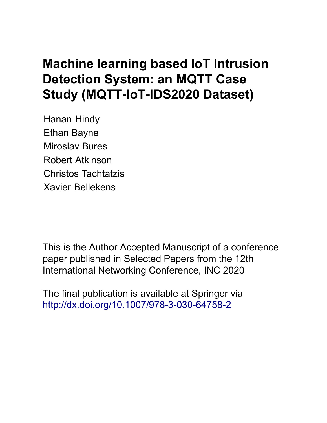# **Machine learning based IoT Intrusion Detection System: an MQTT Case Study (MQTT-IoT-IDS2020 Dataset)**

Hanan Hindy Ethan Bayne Miroslav Bures Robert Atkinson Christos Tachtatzis Xavier Bellekens

This is the Author Accepted Manuscript of a conference paper published in Selected Papers from the 12th International Networking Conference, INC 2020

The final publication is available at Springer via http://dx.doi.org/[10.1007/978-3-030-64758-2](http://dx.doi.org/10.1007/978-3-030-64758-2)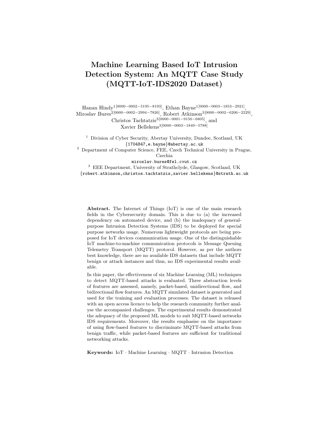# Machine Learning Based IoT Intrusion Detection System: An MQTT Case Study (MQTT-IoT-IDS2020 Dataset)

Hanan Hindy1[0000−0002−5195−8193], Ethan Bayne1[0000−0003−1853−2921] , Miroslav Bures2[0000−0002−2994−7826], Robert Atkinson3[0000−0002−6206−2229] , Christos Tachtatzis3[0000−0001−9150−6805], and Xavier Bellekens3[0000−0003−1849−5788]

<sup>1</sup> Division of Cyber Security, Abertay University, Dundee, Scotland, UK {1704847,e.bayne}@abertay.ac.uk <sup>2</sup> Department of Computer Science, FEE, Czech Technical University in Prague,

Czechia

miroslav.bures@fel.cvut.cz

<sup>3</sup> EEE Department, University of Strathclyde, Glasgow, Scotland, UK {robert.atkinson,christos.tachtatzis,xavier.bellekens}@strath.ac.uk

Abstract. The Internet of Things (IoT) is one of the main research fields in the Cybersecurity domain. This is due to (a) the increased dependency on automated device, and (b) the inadequacy of generalpurpose Intrusion Detection Systems (IDS) to be deployed for special purpose networks usage. Numerous lightweight protocols are being proposed for IoT devices communication usage. One of the distinguishable IoT machine-to-machine communication protocols is Message Queuing Telemetry Transport (MQTT) protocol. However, as per the authors best knowledge, there are no available IDS datasets that include MQTT benign or attack instances and thus, no IDS experimental results available.

In this paper, the effectiveness of six Machine Learning (ML) techniques to detect MQTT-based attacks is evaluated. Three abstraction levels of features are assessed, namely, packet-based, unidirectional flow, and bidirectional flow features. An MQTT simulated dataset is generated and used for the training and evaluation processes. The dataset is released with an open access licence to help the research community further analyse the accompanied challenges. The experimental results demonstrated the adequacy of the proposed ML models to suit MQTT-based networks IDS requirements. Moreover, the results emphasise on the importance of using flow-based features to discriminate MQTT-based attacks from benign traffic, while packet-based features are sufficient for traditional networking attacks.

Keywords: IoT · Machine Learning · MQTT · Intrusion Detection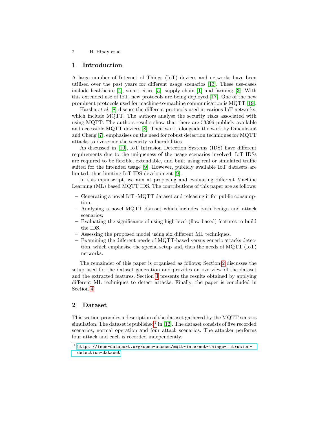### 1 Introduction

A large number of Internet of Things (IoT) devices and networks have been utilised over the past years for different usage scenarios [\[13\]](#page-14-0). These use-cases include healthcare [\[4\]](#page-13-0), smart cities [\[5\]](#page-13-1), supply chain [\[1\]](#page-13-2) and farming [\[3\]](#page-13-3). With this extended use of IoT, new protocols are being deployed [\[17\]](#page-14-1). One of the new prominent protocols used for machine-to-machine communication is MQTT [\[19\]](#page-14-2).

Harsha et al. [\[8\]](#page-13-4) discuss the different protocols used in various IoT networks, which include MQTT. The authors analyse the security risks associated with using MQTT. The authors results show that there are 53396 publicly available and accessible MQTT devices  $[8]$ . Their work, alongside the work by Dinculeană and Cheng [\[7\]](#page-13-5), emphasises on the need for robust detection techniques for MQTT attacks to overcome the security vulnerabilities.

As discussed in [\[10\]](#page-14-3), IoT Intrusion Detection Systems (IDS) have different requirements due to the uniqueness of the usage scenarios involved. IoT IDSs are required to be flexible, extendable, and built using real or simulated traffic suited for the intended usage [\[9\]](#page-13-6). However, publicly available IoT datasets are limited, thus limiting IoT IDS development [\[9\]](#page-13-6).

In this manuscript, we aim at proposing and evaluating different Machine Learning (ML) based MQTT IDS. The contributions of this paper are as follows:

- Generating a novel IoT -MQTT dataset and releasing it for public consumption.
- Analysing a novel MQTT dataset which includes both benign and attack scenarios.
- Evaluating the significance of using high-level (flow-based) features to build the IDS.
- Assessing the proposed model using six different ML techniques.
- Examining the different needs of MQTT-based versus generic attacks detection, which emphasise the special setup and, thus the needs of MQTT (IoT) networks.

The remainder of this paper is organised as follows; Section [2](#page-2-0) discusses the setup used for the dataset generation and provides an overview of the dataset and the extracted features. Section [3](#page-6-0) presents the results obtained by applying different ML techniques to detect attacks. Finally, the paper is concluded in Section [4.](#page-12-0)

# <span id="page-2-0"></span>2 Dataset

This section provides a description of the dataset gathered by the MQTT sensors simulation. The dataset is published<sup>[1](#page-2-1)</sup> in [\[12\]](#page-14-4). The dataset consists of five recorded scenarios; normal operation and four attack scenarios. The attacker performs four attack and each is recorded independently.

<span id="page-2-1"></span> $^{\rm 1}$  [https://ieee-dataport.org/open-access/mqtt-internet-things-intrusion](https://ieee-dataport.org/open-access/mqtt-internet-things-intrusion-detection-dataset)[detection-dataset](https://ieee-dataport.org/open-access/mqtt-internet-things-intrusion-detection-dataset)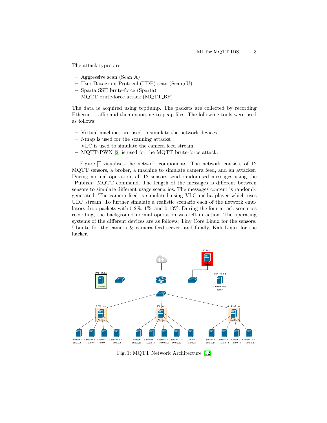The attack types are:

- $-$  Aggressive scan (Scan  $A$ )
- User Datagram Protocol (UDP) scan (Scan sU)
- Sparta SSH brute-force (Sparta)
- MQTT brute-force attack (MQTT BF)

The data is acquired using tcpdump. The packets are collected by recording Ethernet traffic and then exporting to pcap files. The following tools were used as follows:

- Virtual machines are used to simulate the network devices.
- Nmap is used for the scanning attacks.
- VLC is used to simulate the camera feed stream.
- MQTT-PWN [\[2\]](#page-13-7) is used for the MQTT brute-force attack.

Figure [1](#page-3-0) visualises the network components. The network consists of 12 MQTT sensors, a broker, a machine to simulate camera feed, and an attacker. During normal operation, all 12 sensors send randomised messages using the "Publish" MQTT command. The length of the messages is different between sensors to simulate different usage scenarios. The messages content is randomly generated. The camera feed is simulated using VLC media player which uses UDP stream. To further simulate a realistic scenario each of the network emulators drop packets with 0.2%, 1%, and 0.13%. During the four attack scenarios recording, the background normal operation was left in action. The operating systems of the different devices are as follows; Tiny Core Linux for the sensors, Ubuntu for the camera & camera feed server, and finally, Kali Linux for the hacker.

<span id="page-3-0"></span>

Fig. 1: MQTT Network Architecture [\[12\]](#page-14-4)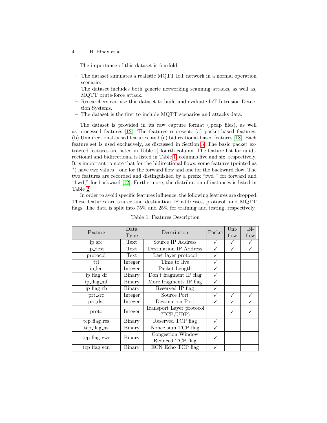The importance of this dataset is fourfold:

- The dataset simulates a realistic MQTT IoT network in a normal operation scenario.
- The dataset includes both generic networking scanning attacks, as well as, MQTT brute-force attack.
- Researchers can use this dataset to build and evaluate IoT Intrusion Detection Systems.
- The dataset is the first to include MQTT scenarios and attacks data.

The dataset is provided in its raw capture format (.pcap files), as well as processed features [\[12\]](#page-14-4). The features represent: (a) packet-based features, (b) Unidirectional-based features, and (c) bidirectional-based features [\[18\]](#page-14-5). Each feature set is used exclusively, as discussed in Section [3.](#page-6-0) The basic packet extracted features are listed in Table [1,](#page-4-0) fourth column. The feature list for unidirectional and bidirectional is listed in Table [1,](#page-4-0) columns five and six, respectively. It is important to note that for the bidirectional flows, some features (pointed as \*) have two values—one for the forward flow and one for the backward flow. The two features are recorded and distinguished by a prefix "fwd." for forward and "bwd." for backward [\[12\]](#page-14-4). Furthermore, the distribution of instances is listed in Table [2.](#page-6-1)

In order to avoid specific features influence, the following features are dropped. These features are source and destination IP addresses, protocol, and MQTT flags. The data is split into 75% and 25% for training and testing, respectively.

<span id="page-4-0"></span>

|                              | Data          |                                       | Packet | Uni- | $Bi-$ |
|------------------------------|---------------|---------------------------------------|--------|------|-------|
| Feature                      | Type          | Description                           |        | flow | flow  |
| ip_src                       | Text          | Source IP Address                     |        |      |       |
| ip_dest                      | Text          | Destination IP Address                |        |      |       |
| protocol                     | Text          | Last layer protocol                   |        |      |       |
| ttl                          | Integer       | Time to live                          |        |      |       |
| ip_len                       | Integer       | Packet Length                         |        |      |       |
| $ip\_\text{flag-df}$         | Binary        | Don't fragment IP flag                |        |      |       |
| ip_flag_mf                   | Binary        | More fragments IP flag                |        |      |       |
| ip_flag_rb                   | Binary        | Reserved IP flag                      |        |      |       |
| prt_src                      | Integer       | Source Port                           |        |      |       |
| $\text{prt\_dst}$            | Integer       | Destination Port                      |        |      |       |
| proto                        | Integer       | Transport Layer protocol<br>(TCP/UDP) |        |      |       |
| tcp_flag_res                 | Binary        | Reserved TCP flag                     |        |      |       |
| $tep_{\text{mag} \text{ns}}$ | Binary        | Nonce sum TCP flag                    |        |      |       |
| tcp_flag_cwr                 | Binary        | Congestion Window<br>Reduced TCP flag |        |      |       |
| tcp_flag_ecn                 | <b>Binary</b> | ECN Echo TCP flag                     |        |      |       |

Table 1: Features Description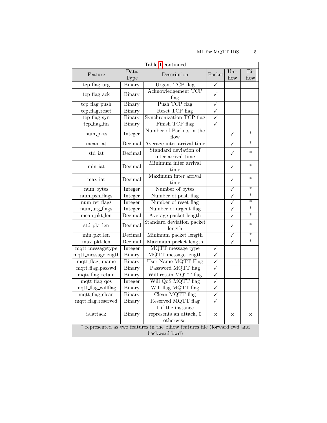|                           |               | Table 1 continued                                                          |                         |                         |                          |
|---------------------------|---------------|----------------------------------------------------------------------------|-------------------------|-------------------------|--------------------------|
| Feature                   | Data          | Description                                                                | Packet                  | Uni-                    | $\overline{\mathrm{Bi}}$ |
|                           | Type          |                                                                            |                         | flow                    | flow                     |
| tcp_flag_urg              | Binary        | Urgent TCP flag                                                            | $\checkmark$            |                         |                          |
| tcp_flag_ack              | Binary        | Acknowledgement TCP                                                        | $\checkmark$            |                         |                          |
|                           |               | flag                                                                       |                         |                         |                          |
| tcp_flag_push             | Binary        | Push TCP flag                                                              | $\overline{\checkmark}$ |                         |                          |
| tcp_flag_reset            | Binary        | Reset TCP flag                                                             | $\overline{\checkmark}$ |                         |                          |
| tcp_flag_syn              | <b>Binary</b> | Synchronization TCP flag                                                   | $\overline{\checkmark}$ |                         |                          |
| tcp_flag_fin              | <b>Binary</b> | Finish TCP flag                                                            | ✓                       |                         |                          |
| num <sub>-pkts</sub>      | Integer       | Number of Packets in the<br>flow                                           |                         | ✓                       | $\ast$                   |
| mean_iat                  | Decimal       | Average inter arrival time                                                 |                         | $\overline{\checkmark}$ | $\ast$                   |
|                           |               | Standard deviation of                                                      |                         |                         | $\ast$                   |
| std_iat                   | Decimal       | inter arrival time                                                         |                         | ✓                       |                          |
| min_iat                   | Decimal       | Minimum inter arrival                                                      |                         | ✓                       | $\ast$                   |
|                           |               | time                                                                       |                         |                         |                          |
| max_iat                   | Decimal       | Maximum inter arrival<br>time                                              |                         | ✓                       | $\ast$                   |
| num_bytes                 | Integer       | Number of bytes                                                            |                         | ✓                       | $\ast$                   |
| num_psh_flags             | Integer       | Number of push flag                                                        |                         | ✓                       | ₮                        |
| num_rst_flags             | Integer       | Number of reset flag                                                       |                         | $\overline{\checkmark}$ | $\ast$                   |
| num_urg_flags             | Integer       | Number of urgent flag                                                      |                         | ✓                       | ₮                        |
| mean_pkt_len              | Decimal       | Average packet length                                                      |                         | $\overline{\checkmark}$ | $\overline{\ast}$        |
|                           | Decimal       | Standard deviation packet                                                  |                         | ✓                       | $\ast$                   |
| std_pkt_len               |               | length                                                                     |                         |                         |                          |
| min_pkt_len               | Decimal       | Minimum packet length                                                      |                         | ✓                       | $\overline{\ast}$        |
| $max$ <sub>-pkt</sub> len | Decimal       | Maximum packet length                                                      |                         |                         | $\ast$                   |
| mqtt_messagetype          | Integer       | MQTT message type                                                          | ✓                       |                         |                          |
| mqtt_messagelength        | Binary        | MQTT message length                                                        | $\overline{\checkmark}$ |                         |                          |
| mqtt_flag_uname           | Binary        | User Name MQTT Flag                                                        | $\checkmark$            |                         |                          |
| mqtt_flag_passwd          | Binary        | Password MQTT flag                                                         | $\checkmark$            |                         |                          |
| mqtt_flag_retain          | Binary        | Will retain MQTT flag                                                      | $\checkmark$            |                         |                          |
| $mqtt$ $flag_qos$         | Integer       | Will QoS MQTT flag                                                         | $\overline{\checkmark}$ |                         |                          |
| mqtt_flag_willflag        | Binary        | Will flag MQTT flag                                                        | $\overline{\checkmark}$ |                         |                          |
| mqtt_flag_clean           | Binary        | Clean MQTT flag                                                            | $\checkmark$            |                         |                          |
| mqtt_flag_reserved        | Binary        | Reserved MQTT flag                                                         | ✓                       |                         |                          |
|                           |               | 1 if the instance                                                          |                         |                         |                          |
| is_attack                 | Binary        | represents an attack, 0                                                    | $\mathbf X$             | $\mathbf X$             | X                        |
|                           |               | otherwise.                                                                 |                         |                         |                          |
|                           |               | * represented as two features in the biflow features file (forward fwd and |                         |                         |                          |
|                           |               | backward bwd)                                                              |                         |                         |                          |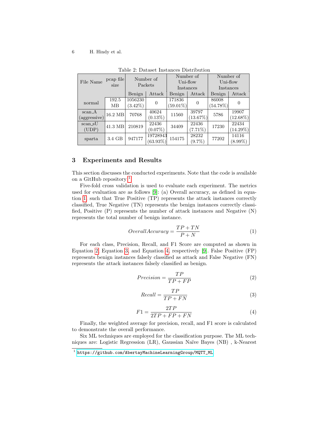<span id="page-6-1"></span>

|                  |           |            |             |             | таріс 4. Datastt пізтапса Distribution |             |             |
|------------------|-----------|------------|-------------|-------------|----------------------------------------|-------------|-------------|
|                  | pcap file |            | Number of   |             | Number of                              |             | Number of   |
| File Name        |           |            | Packets     |             | Uni-flow                               |             | Uni-flow    |
|                  | size      |            |             | Instances   |                                        |             | Instances   |
|                  |           | Benign     | Attack      | Benign      | Attack                                 | Benign      | Attack      |
| normal           | 192.5     | 1056230    | $\Omega$    | 171836      | 0                                      | 86008       | 0           |
|                  | MВ        | $(3.42\%)$ |             | $(59.01\%)$ |                                        | $(54.78\%)$ |             |
| $scan_A$         | 16.2 MB   | 70768      | 40624       | 11560       | 39797                                  | 5786        | 19907       |
| (aggressive)     |           |            | $(0.13\%)$  |             | (13.67%)                               |             | $(12.68\%)$ |
| scan_sU          | 41.3 MB   | 210819     | 22436       | 34409       | 22436                                  | 17230       | 22434       |
| $(\mathrm{UDP})$ |           |            | $(0.07\%)$  |             | $(7.71\%)$                             |             | $(14.29\%)$ |
|                  | 3.4 GB    | 947177     | 19728943    | 154175      | 28232                                  | 77202       | 14116       |
| sparta           |           |            | $(63.93\%)$ |             | $(9.7\%)$                              |             | $(8.99\%)$  |

Table 2: Dataset Instances Distribution

## <span id="page-6-0"></span>3 Experiments and Results

This section discusses the conducted experiments. Note that the code is available on a GitHub repository  $<sup>1</sup>$  $<sup>1</sup>$  $<sup>1</sup>$ .</sup>

Five-fold cross validation is used to evaluate each experiment. The metrics used for evaluation are as follows [\[9\]](#page-13-6): (a) Overall accuracy, as defined in equation [1,](#page-6-3) such that True Positive (TP) represents the attack instances correctly classified, True Negative (TN) represents the benign instances correctly classified, Positive (P) represents the number of attack instances and Negative (N) represents the total number of benign instance.

<span id="page-6-3"></span>
$$
Overall Accuracy = \frac{TP + TN}{P + N}
$$
\n(1)

For each class, Precision, Recall, and F1 Score are computed as shown in Equation [2,](#page-6-4) Equation [3,](#page-6-5) and Equation [4,](#page-6-6) respectively [\[9\]](#page-13-6). False Positive (FP) represents benign instances falsely classified as attack and False Negative (FN) represents the attack instances falsely classified as benign.

<span id="page-6-4"></span>
$$
Precision = \frac{TP}{TP + FP}
$$
 (2)

<span id="page-6-5"></span>
$$
Recall = \frac{TP}{TP + FN}
$$
\n<sup>(3)</sup>

<span id="page-6-6"></span>
$$
F1 = \frac{2TP}{2TP + FP + FN} \tag{4}
$$

Finally, the weighted average for precision, recall, and F1 score is calculated to demonstrate the overall performance.

Six ML techniques are employed for the classification purpose. The ML techniques are: Logistic Regression (LR), Gaussian Na¨ıve Bayes (NB) , k-Nearest

<span id="page-6-2"></span><sup>1</sup> [https://github.com/AbertayMachineLearningGroup/MQTT\\_ML](https://github.com/AbertayMachineLearningGroup/MQTT_ML)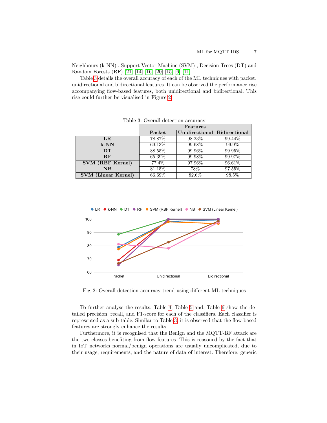Neighbours (k-NN) , Support Vector Machine (SVM) , Decision Trees (DT) and Random Forests (RF) [\[21\]](#page-14-6) [\[14\]](#page-14-7) [\[16\]](#page-14-8) [\[20\]](#page-14-9) [\[15\]](#page-14-10) [\[6\]](#page-13-8) [\[11\]](#page-14-11).

Table [3](#page-7-0) details the overall accuracy of each of the ML techniques with packet, unidirectional and bidirectional features. It can be observed the performance rise accompanying flow-based features, both unidirectional and bidirectional. This rise could further be visualised in Figure [2.](#page-7-1)

<span id="page-7-0"></span>

|                            |         | Features                     |         |
|----------------------------|---------|------------------------------|---------|
|                            | Packet  | Unidirectional Bidirectional |         |
| $_{LR}$                    | 78.87\% | 98.23\%                      | 99.44\% |
| $k-NN$                     | 69.13\% | 99.68%                       | 99.9%   |
| DT                         | 88.55%  | 99.96\%                      | 99.95%  |
| $R$ $F$                    | 65.39%  | 99.98%                       | 99.97%  |
| SVM (RBF Kernel)           | 77.4\%  | 97.96%                       | 96.61\% |
| NB                         | 81.15\% | 78\%                         | 97.55%  |
| <b>SVM</b> (Linear Kernel) | 66.69%  | 82.6%                        | 98.5%   |

Table 3: Overall detection accuracy

<span id="page-7-1"></span>

Fig. 2: Overall detection accuracy trend using different ML techniques

To further analyse the results, Table [4,](#page-9-0) Table [5](#page-10-0) and, Table [6](#page-11-0) show the detailed precision, recall, and F1-score for each of the classifiers. Each classifier is represented as a sub-table. Similar to Table [3,](#page-7-0) it is observed that the flow-based features are strongly enhance the results.

Furthermore, it is recognised that the Benign and the MQTT-BF attack are the two classes benefiting from flow features. This is reasoned by the fact that in IoT networks normal/benign operations are usually uncomplicated, due to their usage, requirements, and the nature of data of interest. Therefore, generic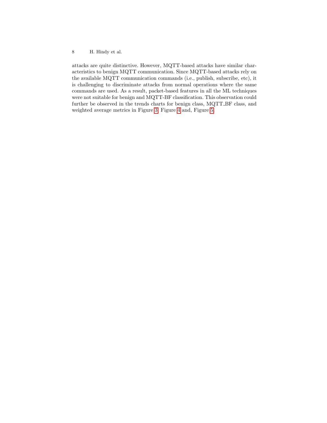attacks are quite distinctive. However, MQTT-based attacks have similar characteristics to benign MQTT communication. Since MQTT-based attacks rely on the available MQTT communication commands (i.e., publish, subscribe, etc), it is challenging to discriminate attacks from normal operations where the same commands are used. As a result, packet-based features in all the ML techniques were not suitable for benign and MQTT-BF classification. This observation could further be observed in the trends charts for benign class, MQTT BF class, and weighted average metrics in Figure [3,](#page-12-1) Figure [4](#page-12-2) and, Figure [5.](#page-12-3)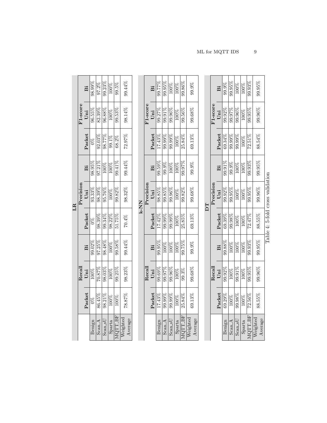| 99.23%<br>99.44%<br>98.99%<br>99.5%<br>97.2%<br>100%<br>ä<br>96.88%<br>99.53%<br>98.14%<br>$96.55\%$<br>82.39%<br>100%<br>$U$ ni<br>Packet<br>72.97%<br>98.77%<br>$92.03\%$<br>$99.1\%$<br>68.2%<br>$\frac{8}{2}$<br>99.41%<br>99.44%<br>98.95%<br>$97.21\%$<br>100%<br>100%<br>ä<br>99.82%<br>98.32%<br>$93.33\%$<br>98.39%<br>95.76%<br>100%<br>Uni<br>Packet<br>51.75%<br>99.34%<br>$98.39\%$<br>98.22%<br>70.4%<br>$\frac{8}{3}$<br>98.48%<br>99.58%<br>99.44%<br>$99.02\%$<br>97.25%<br>100%<br>ä | 99.77%<br>99.95%<br>99.86%<br>99.9%<br>100%<br>100%<br>ä<br>F <sub>1</sub> -score<br>99.91%<br>$99.96\%$<br>99.56%<br>99.68%<br>$99.27\%$<br>100%<br>Uni<br>Packet<br>99.99%<br>69.13%<br>$17.43\%$<br>$99.99\%$<br>25.84%<br>100%<br>99.59%<br>99.97%<br>$99.9\%$<br>99.9%<br>100%<br>100%<br>ä<br>Precision<br>98.85%<br>99.85%<br>$99.96\%$<br>99.82%<br>99.68%<br>100%<br>Uni<br>K-NN<br>Packet<br>99.99%<br>25.85%<br>69.13%<br>$99.99\%$<br>17.42%<br>$100\%$<br>99.95%<br>99.75%<br>99.9%<br>100%<br>100%<br>100%<br>ä |                         | $\operatorname{Recall}$ |        |           | Precision |          |        | F <sub>1</sub> -score |        |
|--------------------------------------------------------------------------------------------------------------------------------------------------------------------------------------------------------------------------------------------------------------------------------------------------------------------------------------------------------------------------------------------------------------------------------------------------------------------------------------------------------|-------------------------------------------------------------------------------------------------------------------------------------------------------------------------------------------------------------------------------------------------------------------------------------------------------------------------------------------------------------------------------------------------------------------------------------------------------------------------------------------------------------------------------|-------------------------|-------------------------|--------|-----------|-----------|----------|--------|-----------------------|--------|
|                                                                                                                                                                                                                                                                                                                                                                                                                                                                                                        |                                                                                                                                                                                                                                                                                                                                                                                                                                                                                                                               | Uni<br>Packet           |                         |        |           |           |          |        |                       |        |
|                                                                                                                                                                                                                                                                                                                                                                                                                                                                                                        |                                                                                                                                                                                                                                                                                                                                                                                                                                                                                                                               | 100%<br>$\Im$           |                         |        |           |           |          |        |                       |        |
|                                                                                                                                                                                                                                                                                                                                                                                                                                                                                                        |                                                                                                                                                                                                                                                                                                                                                                                                                                                                                                                               | 70.87%<br>86.45%        |                         |        |           |           |          |        |                       |        |
|                                                                                                                                                                                                                                                                                                                                                                                                                                                                                                        |                                                                                                                                                                                                                                                                                                                                                                                                                                                                                                                               | 98.03%<br>$98.21\%$     |                         |        |           |           |          |        |                       |        |
|                                                                                                                                                                                                                                                                                                                                                                                                                                                                                                        |                                                                                                                                                                                                                                                                                                                                                                                                                                                                                                                               | 100%<br>100%            |                         |        |           |           |          |        |                       |        |
|                                                                                                                                                                                                                                                                                                                                                                                                                                                                                                        |                                                                                                                                                                                                                                                                                                                                                                                                                                                                                                                               | 99.25%<br>100%          |                         |        |           |           |          |        |                       |        |
|                                                                                                                                                                                                                                                                                                                                                                                                                                                                                                        |                                                                                                                                                                                                                                                                                                                                                                                                                                                                                                                               | 98.23%<br>78.87%        |                         |        |           |           |          |        |                       |        |
|                                                                                                                                                                                                                                                                                                                                                                                                                                                                                                        |                                                                                                                                                                                                                                                                                                                                                                                                                                                                                                                               |                         |                         |        |           |           |          |        |                       |        |
|                                                                                                                                                                                                                                                                                                                                                                                                                                                                                                        |                                                                                                                                                                                                                                                                                                                                                                                                                                                                                                                               | $\operatorname{Recall}$ |                         |        |           |           |          |        |                       |        |
|                                                                                                                                                                                                                                                                                                                                                                                                                                                                                                        |                                                                                                                                                                                                                                                                                                                                                                                                                                                                                                                               | Uni<br>Packet           |                         |        |           |           |          |        |                       |        |
|                                                                                                                                                                                                                                                                                                                                                                                                                                                                                                        |                                                                                                                                                                                                                                                                                                                                                                                                                                                                                                                               | 99.69%<br>$17.43\%$     |                         |        |           |           |          |        |                       |        |
|                                                                                                                                                                                                                                                                                                                                                                                                                                                                                                        |                                                                                                                                                                                                                                                                                                                                                                                                                                                                                                                               | 99.97%<br>99.99%        |                         |        |           |           |          |        |                       |        |
|                                                                                                                                                                                                                                                                                                                                                                                                                                                                                                        |                                                                                                                                                                                                                                                                                                                                                                                                                                                                                                                               | 99.96%<br>$99.99\%$     |                         |        |           |           |          |        |                       |        |
|                                                                                                                                                                                                                                                                                                                                                                                                                                                                                                        |                                                                                                                                                                                                                                                                                                                                                                                                                                                                                                                               | 100%<br>100%            |                         |        |           |           |          |        |                       |        |
|                                                                                                                                                                                                                                                                                                                                                                                                                                                                                                        |                                                                                                                                                                                                                                                                                                                                                                                                                                                                                                                               | 99.3%<br>25.84%         |                         |        |           |           |          |        |                       |        |
|                                                                                                                                                                                                                                                                                                                                                                                                                                                                                                        |                                                                                                                                                                                                                                                                                                                                                                                                                                                                                                                               | 99.68%<br>69.13%        |                         |        |           |           |          |        |                       |        |
|                                                                                                                                                                                                                                                                                                                                                                                                                                                                                                        |                                                                                                                                                                                                                                                                                                                                                                                                                                                                                                                               |                         |                         |        |           |           |          |        |                       |        |
| $\Gamma$                                                                                                                                                                                                                                                                                                                                                                                                                                                                                               |                                                                                                                                                                                                                                                                                                                                                                                                                                                                                                                               | Recall                  |                         |        |           | Precision |          |        | F <sub>1-score</sub>  |        |
|                                                                                                                                                                                                                                                                                                                                                                                                                                                                                                        |                                                                                                                                                                                                                                                                                                                                                                                                                                                                                                                               | Uni<br>Packet           |                         | ä      | Packet    | Uni       | ä        | Packet | Uni                   | ä      |
|                                                                                                                                                                                                                                                                                                                                                                                                                                                                                                        |                                                                                                                                                                                                                                                                                                                                                                                                                                                                                                                               | 99.92%<br>69.29%        |                         | 99.88% | $69.39\%$ | 99.92%    | 99.91%   | 69.34% | 99.92%                | 99.9%  |
|                                                                                                                                                                                                                                                                                                                                                                                                                                                                                                        |                                                                                                                                                                                                                                                                                                                                                                                                                                                                                                                               | 100%<br>100%            |                         | 100%   | 99.98%    | 99.95%    | $99.9\%$ | 99.99% | 99.97%                | 99.95% |

<span id="page-9-0"></span>LR

| $\sim$ | 55%<br>$\frac{8}{3}$ | <b>CCCC</b><br>ì | C <sub>F</sub><br>Š              | 550%<br>ू<br>∝                                                                            | 0.007<br>I<br>Ì                 | 0.050                               | .54% | nn neW | <b>UED</b><br>č |
|--------|----------------------|------------------|----------------------------------|-------------------------------------------------------------------------------------------|---------------------------------|-------------------------------------|------|--------|-----------------|
| verage | $\ddot{ }$<br>ċ<br>ż | Ş                | $\ddot{\phantom{0}}$<br>$\vdots$ | $\frac{5}{2}$<br>$\frac{1}{2}$                                                            | 3.97<br>١                       | Ś<br>sic.<br>5<br>j                 |      | 3.     | C<br>3          |
|        |                      |                  | Iable                            | $\frac{1}{2}$<br><sup>1</sup><br>ś<br>ı<br>$\overline{\phantom{a}}$<br>J<br>.<br>ਚਾਂ<br>J | ì<br>i<br>Š<br>j<br>j<br>J<br>Ï | 5<br>Ï<br>ļ<br>$\ddot{\phantom{a}}$ |      |        |                 |

Scan A

 $\frac{\text{Sparta}}{\text{MQTTBF}}\\ \text{Weighted}}\\ \text{Average}$ 

 $\frac{100\%}{100\%}$   $\frac{100\%}{100\%}$   $\frac{100\%}{100\%}$   $\frac{99.95\%}{100\%}$   $\frac{99.95\%}{100\%}$   $\frac{99.95\%}{100\%}$   $\frac{99.95\%}{100\%}$  $\text{Scam\_sU} = \frac{99.98\%}{100\%} = \frac{100\%}{100\%} = \frac{100\%}{100\%} = \frac{100\%}{100\%} = \frac{99.99\%}{99.96\%} = \frac{100\%}{100\%}$  $\text{Sparta}$   $100\%$   $100\%$   $100\%$   $100\%$   $100\%$   $100\%$   $100\%$   $100\%$   $100\%$   $100\%$   $100\%$   $100\%$  $\mathrm{MQTT}\,\mathrm{BF} \,\,\,\,\,\, 72.56\% \,\,\,\,\,\,\,\,\,\, 99.95\% \,\,\,\,\,\,\,\,\,\,\,\,\, 99.93\% \,\,\,\,\,\,\,\,\,\,\,\,\,\,\,\, 99.93\% \,\,\,\,\,\,\,\,\,\,\, 99.93\% \,\,\,\,\,\,\,\,\,\, 99.93\% \,\,\,\,\,\,\,\,\,\, 99.93\%$ 

 $\overline{100\%}$  $100\%$ 

 $\,$  ML for MQTT IDS  $\,$   $\,$   $\,$   $\,$  9  $\,$ 

 $99.96\%$ 

 $88.54\%$ 

 $99.95\%$ 

 $99.96\%$ 

 $88.55\%$  $72.47\%$ 

 $99.95\%$ 

 $99.96\%$ 

 $88.55\%$ 

 $99.93%$  $99.95\%$ 

 $99.95\%$ 

 $\frac{100\%}{72.51\%}$ 09.99%

 $\frac{100\%}{99.93\%}$ 

 $\frac{100\%}{100\%}$ 

 $\frac{100\%}{100\%}$ 

 $\frac{100\%}{99.95\%}$ 

 $\frac{100\%}{72.56\%}$ 

 $99.91\%$ 

99.98%

 $\overline{100\%}$ 

 $\overline{100\%}$  $100\%$ 

89.96%  $100\%$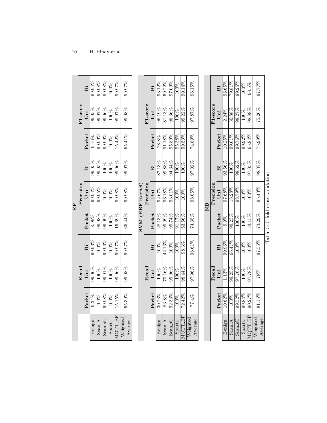<span id="page-10-0"></span>

|                        |           |           |           |           | $\mathbf{R}^{\mathbf{F}}$ |           |           |                       |           |
|------------------------|-----------|-----------|-----------|-----------|---------------------------|-----------|-----------|-----------------------|-----------|
|                        |           | Recal     |           |           | Precision                 |           |           | F <sub>1-score</sub>  |           |
|                        | Packet    | $U$ ni    | Bi        | Packet    | $U$ ni                    | Βi        | Packet    | $U$ ni                | Bi        |
| Benign                 | $9.34\%$  | 99.96%    | $99.93\%$ | $8.99\%$  | 99.94%                    | $99.95\%$ | $9.16\%$  | $99.95\%$             | 99.94%    |
| Scan <sub>A</sub>      | 100%      | 100%      | 100%      | 99.98%    | 99.95%                    | 99.95%    | $99.99\%$ | 99.97%                | 99.98%    |
| $Scan$ <sub>-S</sub> U | 99.98%    | 99.91%    | 99.96%    | 99.99%    | 100%                      | 100%      | 99.99%    | 99.96%                | 99.98%    |
| Sparta                 | 100%      | 100%      | 100%      | 100%      | 100%                      | 100%      | 100%      | 100%                  | $100\%$   |
| MQTT_BF                | 15.15%    | 99.96%    | 99.97%    | 15.69%    | 99.98%                    | 99.96%    | 15.42%    | 99.97%                | 99.97%    |
| Weighted<br>Average    | 65.39%    | 99.98%    | 99.97%    | 65.44%    | 99.98%                    | 99.97%    | 65.41%    | 99.98%                | 99.97%    |
|                        |           |           |           |           | SVM (RBF Kernel)          |           |           |                       |           |
|                        |           | Recall    |           |           | Precision                 |           |           | F <sub>1-score</sub>  |           |
|                        | Packet    | Uni       | ä         | Packet    | Uni                       | ä         | Packet    | $U$ ni                | ä         |
| Benign                 | $30.23\%$ | 100%      | 100%      | $28.13\%$ | 92.67%                    | 87.13%    | $28.8\%$  | $96.19\%$             | 93.12%    |
| $\operatorname{ScanA}$ | 83.8%     | 70.16%    | $42.13\%$ | 99.99%    | 96.18%                    | 99.88%    | $91.18\%$ | 81.13%                | 59.22%    |
| $Scan$ sU              | $92.33\%$ | 99.96%    | 100%      | 99.74%    | 93.01%                    | 94.34%    | 95.89%    | 96.36%                | $97.09\%$ |
| Sparta                 | 100%      | 100%      | 100%      | 91.17%    | 100%                      | 100%      | 95.38%    | 100%                  | 100%      |
| MQTT_BF                | $72.42\%$ | 98.44%    | 98.3%     | 53.56%    | 100%                      | 100%      | 59.53%    | 99.22%                | 99.14%    |
| Weighted<br>Average    | 77.4%     | 97.96%    | 96.61%    | 74.35%    | 98.05%                    | 97.02%    | 74.89%    | 97.87%                | 96.15%    |
|                        |           |           |           |           |                           |           |           |                       |           |
|                        |           |           |           |           | $\overline{AB}$           |           |           |                       |           |
|                        |           | Recal     |           |           | Precision                 |           |           | F <sub>1</sub> -score |           |
|                        | Packet    | Uni       | ä         | Packet    | Uni                       | ä         | Packet    | Uni                   | ä         |
| Benign                 | $10.62\%$ | 1.13%     | 99.96%    | 9.9%      | 97.68%                    | $93.56\%$ | $10.25\%$ | 2.24%                 | 96.65%    |
| Scan <sub>A</sub>      | $100\%$   | 99.25%    | $66.41\%$ | 99.23%    | 18.28%                    | $100\%$   | $99.61\%$ | $30.88\%$             | $79.81\%$ |
| $_{\rm{Scan}$          | 99.52%    | 97.76%    | 100%      | 100%      | 98.79%                    | 98.52%    | 99.76%    | 98.27%                | 99.25%    |
| Sparta                 | 99.84%    | 100%      | 100%      | 100%      | 100%                      | 100%      | 99.92%    | 100%                  | 100%      |
| MQTT_BF                | 90.27%    | 97.78%    | 100%      | 53.15%    | 100%                      | 97.05%    | 65.84%    | 98.88%                | 98.5%     |
| Weighted<br>Average    | 81.15%    | $^{78\%}$ | $97.55\%$ | 73.29%    | 95.43%                    | 98.37%    | 75.99%    | $75.26\%$             | 97.77%    |

| $\sum_{i=1}^{n}$<br>ra linda<br>Ĩ. |
|------------------------------------|
| CTOSS                              |
| $5-folq$                           |
| ∹<br>i                             |
| Table                              |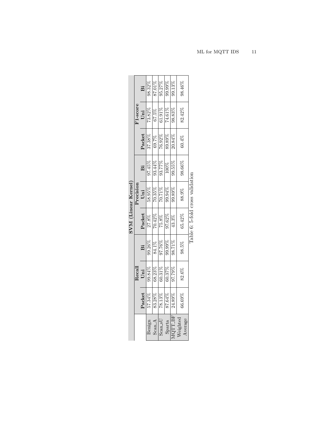<span id="page-11-0"></span>

|                                                        |                           |                                                                                                                                                                     |                                               |                                                          | SVM (Linear Kernel)                                  |                                    |                                                                 |                           |                           |
|--------------------------------------------------------|---------------------------|---------------------------------------------------------------------------------------------------------------------------------------------------------------------|-----------------------------------------------|----------------------------------------------------------|------------------------------------------------------|------------------------------------|-----------------------------------------------------------------|---------------------------|---------------------------|
|                                                        |                           | Recall                                                                                                                                                              |                                               |                                                          | Precision                                            |                                    |                                                                 | F <sub>1-score</sub>      |                           |
|                                                        | Packet                    |                                                                                                                                                                     | ä                                             |                                                          |                                                      | ä                                  | Packet                                                          | Uni $\,$                  | ä                         |
| Benign                                                 | $\frac{57.34\%}{83.28\%}$ | $\begin{array}{c} \textbf{Uni} \\ \textbf{99.84\%} \\ \textbf{68.23\%} \\ \textbf{60.31\%} \\ \textbf{60.37\%} \\ \textbf{60.37\%} \\ \textbf{97.79\%} \end{array}$ |                                               | $\frac{\textbf{Packet}}{27.8\%}\ \frac{27.8\%}{70.42\%}$ | $\frac{\text{Uni}}{58.95\%}$                         | 97.45%                             |                                                                 | $73.82\%$                 |                           |
|                                                        |                           |                                                                                                                                                                     |                                               |                                                          |                                                      |                                    |                                                                 |                           |                           |
| $\frac{\text{Scan}\,\text{A}}{\text{Scan}\,\text{sU}}$ |                           |                                                                                                                                                                     | 89.26%<br>80.76%<br>80.76%<br>80.71%<br>80.82 |                                                          | $\frac{268866}{10.71\%}$<br>$\frac{261202}{10.71\%}$ | 03.44%<br>03.77%<br>000%<br>09.55% | $\frac{37.38\%}{16.92\%}\ \frac{1}{16.98\%}\ \frac{1}{20.84\%}$ | $\frac{67.5\%}{61.91\%}$  | $\frac{98.32\%}{87.01\%}$ |
|                                                        | 87.64%<br>24.89%          |                                                                                                                                                                     |                                               | $\frac{97.62\%}{43.3\%}$                                 |                                                      |                                    |                                                                 | $\frac{74.61\%}{98.83\%}$ | 09.99%<br>99.13%          |
| MQTT_BF<br>Weighted                                    |                           |                                                                                                                                                                     |                                               |                                                          |                                                      |                                    |                                                                 |                           |                           |
| Average                                                | 66.69%                    | 82.6%                                                                                                                                                               | 98.5%                                         | 65.42%                                                   | 88.9%                                                | 98.66%                             | 60.4%                                                           | 82.42%                    | 98.46%                    |
|                                                        |                           |                                                                                                                                                                     |                                               | Table 6: 5-fold cross validation                         |                                                      |                                    |                                                                 |                           |                           |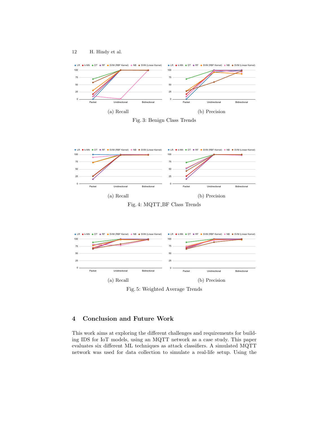

<span id="page-12-1"></span>



<span id="page-12-2"></span>

Fig. 4: MQTT BF Class Trends

<span id="page-12-3"></span>



# <span id="page-12-0"></span>4 Conclusion and Future Work

This work aims at exploring the different challenges and requirements for building IDS for IoT models, using an MQTT network as a case study. This paper evaluates six different ML techniques as attack classifiers. A simulated MQTT network was used for data collection to simulate a real-life setup. Using the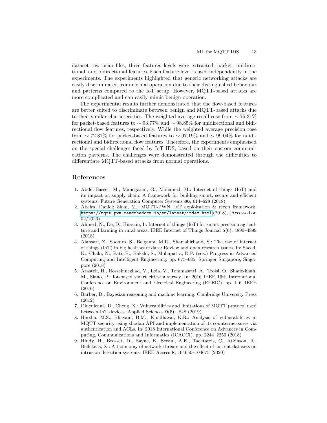dataset raw pcap files, three features levels were extracted; packet, unidirectional, and bidirectional features. Each feature level is used independently in the experiments. The experiments highlighted that generic networking attacks are easily discriminated from normal operation due to their distinguished behaviour and patterns compared to the IoT setup. However, MQTT-based attacks are more complicated and can easily mimic benign operation.

The experimental results further demonstrated that the flow-based features are better suited to discriminate between benign and MQTT-based attacks due to their similar characteristics. The weighted average recall rose from  $\sim 75.31\%$ for packet-based features to  $\sim 93.77\%$  and  $\sim 98.85\%$  for unidirectional and bidirectional flow features, respectively. While the weighted average precision rose from  $\sim$  72.37% for packet-based features to  $\sim$  97.19% and  $\sim$  99.04% for unidirectional and bidirectional flow features. Therefore, the experiments emphasised on the special challenges faced by IoT IDS, based on their custom communication patterns. The challenges were demonstrated through the difficulties to differentiate MQTT-based attacks from normal operations.

## References

- <span id="page-13-2"></span>1. Abdel-Basset, M., Manogaran, G., Mohamed, M.: Internet of things (IoT) and its impact on supply chain: A framework for building smart, secure and efficient systems. Future Generation Computer Systems 86, 614–628 (2018)
- <span id="page-13-7"></span>2. Abeles, Daniel; Zioni, M.: MQTT-PWN, IoT exploitation & recon framework. <https://mqtt-pwn.readthedocs.io/en/latest/index.html> (2018), (Accessed on 02/2020)
- <span id="page-13-3"></span>3. Ahmed, N., De, D., Hussain, I.: Internet of things (IoT) for smart precision agriculture and farming in rural areas. IEEE Internet of Things Journal 5(6), 4890–4899 (2018)
- <span id="page-13-0"></span>4. Alansari, Z., Soomro, S., Belgaum, M.R., Shamshirband, S.: The rise of internet of things (IoT) in big healthcare data: Review and open research issues. In: Saeed, K., Chaki, N., Pati, B., Bakshi, S., Mohapatra, D.P. (eds.) Progress in Advanced Computing and Intelligent Engineering. pp. 675–685. Springer Singapore, Singapore (2018)
- <span id="page-13-1"></span>5. Arasteh, H., Hosseinnezhad, V., Loia, V., Tommasetti, A., Troisi, O., Shafie-khah, M., Siano, P.: Iot-based smart cities: a survey. In: 2016 IEEE 16th International Conference on Environment and Electrical Engineering (EEEIC). pp. 1–6. IEEE (2016)
- <span id="page-13-8"></span>6. Barber, D.: Bayesian reasoning and machine learning. Cambridge University Press (2012)
- <span id="page-13-5"></span>7. Dinculeană, D., Cheng, X.: Vulnerabilities and limitations of MQTT protocol used between IoT devices. Applied Sciences 9(5), 848 (2019)
- <span id="page-13-4"></span>8. Harsha, M.S., Bhavani, B.M., Kundhavai, K.R.: Analysis of vulnerabilities in MQTT security using shodan API and implementation of its countermeasures via authentication and ACLs. In: 2018 International Conference on Advances in Computing, Communications and Informatics (ICACCI). pp. 2244–2250 (2018)
- <span id="page-13-6"></span>9. Hindy, H., Brosset, D., Bayne, E., Seeam, A.K., Tachtatzis, C., Atkinson, R., Bellekens, X.: A taxonomy of network threats and the effect of current datasets on intrusion detection systems. IEEE Access 8, 104650–104675 (2020)